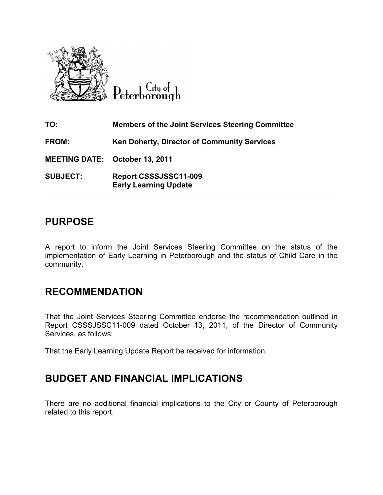

City of Peterborough

| TO:                                   | <b>Members of the Joint Services Steering Committee</b> |
|---------------------------------------|---------------------------------------------------------|
| <b>FROM:</b>                          | <b>Ken Doherty, Director of Community Services</b>      |
| <b>MEETING DATE: October 13, 2011</b> |                                                         |
| <b>SUBJECT:</b>                       | Report CSSSJSSC11-009<br><b>Early Learning Update</b>   |

## **PURPOSE**

A report to inform the Joint Services Steering Committee on the status of the implementation of Early Learning in Peterborough and the status of Child Care in the community.

## **RECOMMENDATION**

That the Joint Services Steering Committee endorse the recommendation outlined in Report CSSSJSSC11-009 dated October 13, 2011, of the Director of Community Services, as follows:

That the Early Learning Update Report be received for information.

# **BUDGET AND FINANCIAL IMPLICATIONS**

There are no additional financial implications to the City or County of Peterborough related to this report.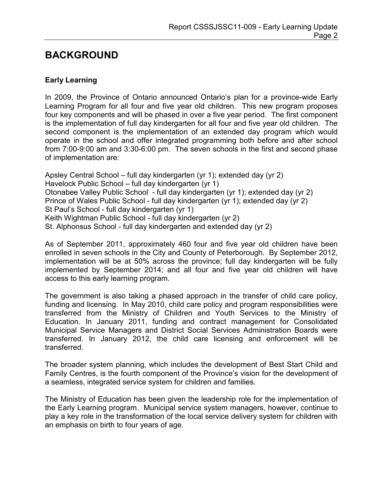## **BACKGROUND**

### **Early Learning**

In 2009, the Province of Ontario announced Ontario's plan for a province-wide Early Learning Program for all four and five year old children. This new program proposes four key components and will be phased in over a five year period. The first component is the implementation of full day kindergarten for all four and five year old children. The second component is the implementation of an extended day program which would operate in the school and offer integrated programming both before and after school from 7:00-9:00 am and 3:30-6:00 pm. The seven schools in the first and second phase of implementation are:

Apsley Central School – full day kindergarten (yr 1); extended day (yr 2) Havelock Public School – full day kindergarten (yr 1) Otonabee Valley Public School - full day kindergarten (yr 1); extended day (yr 2) Prince of Wales Public School - full day kindergarten (yr 1); extended day (yr 2) St Paul's School - full day kindergarten (yr 1) Keith Wightman Public School - full day kindergarten (yr 2) St. Alphonsus School - full day kindergarten and extended day (yr 2)

As of September 2011, approximately 460 four and five year old children have been enrolled in seven schools in the City and County of Peterborough. By September 2012, implementation will be at 50% across the province; full day kindergarten will be fully implemented by September 2014; and all four and five year old children will have access to this early learning program.

The government is also taking a phased approach in the transfer of child care policy, funding and licensing. In May 2010, child care policy and program responsibilities were transferred from the Ministry of Children and Youth Services to the Ministry of Education. In January 2011, funding and contract management for Consolidated Municipal Service Managers and District Social Services Administration Boards were transferred. In January 2012, the child care licensing and enforcement will be transferred.

The broader system planning, which includes the development of Best Start Child and Family Centres, is the fourth component of the Province's vision for the development of a seamless, integrated service system for children and families.

The Ministry of Education has been given the leadership role for the implementation of the Early Learning program. Municipal service system managers, however, continue to play a key role in the transformation of the local service delivery system for children with an emphasis on birth to four years of age.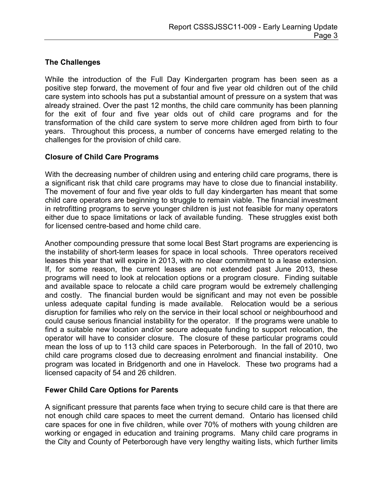## **The Challenges**

While the introduction of the Full Day Kindergarten program has been seen as a positive step forward, the movement of four and five year old children out of the child care system into schools has put a substantial amount of pressure on a system that was already strained. Over the past 12 months, the child care community has been planning for the exit of four and five year olds out of child care programs and for the transformation of the child care system to serve more children aged from birth to four years. Throughout this process, a number of concerns have emerged relating to the challenges for the provision of child care.

#### **Closure of Child Care Programs**

With the decreasing number of children using and entering child care programs, there is a significant risk that child care programs may have to close due to financial instability. The movement of four and five year olds to full day kindergarten has meant that some child care operators are beginning to struggle to remain viable. The financial investment in retrofitting programs to serve younger children is just not feasible for many operators either due to space limitations or lack of available funding. These struggles exist both for licensed centre-based and home child care.

Another compounding pressure that some local Best Start programs are experiencing is the instability of short-term leases for space in local schools. Three operators received leases this year that will expire in 2013, with no clear commitment to a lease extension. If, for some reason, the current leases are not extended past June 2013, these programs will need to look at relocation options or a program closure. Finding suitable and available space to relocate a child care program would be extremely challenging and costly. The financial burden would be significant and may not even be possible unless adequate capital funding is made available. Relocation would be a serious disruption for families who rely on the service in their local school or neighbourhood and could cause serious financial instability for the operator. If the programs were unable to find a suitable new location and/or secure adequate funding to support relocation, the operator will have to consider closure. The closure of these particular programs could mean the loss of up to 113 child care spaces in Peterborough. In the fall of 2010, two child care programs closed due to decreasing enrolment and financial instability. One program was located in Bridgenorth and one in Havelock. These two programs had a licensed capacity of 54 and 26 children.

### **Fewer Child Care Options for Parents**

A significant pressure that parents face when trying to secure child care is that there are not enough child care spaces to meet the current demand. Ontario has licensed child care spaces for one in five children, while over 70% of mothers with young children are working or engaged in education and training programs. Many child care programs in the City and County of Peterborough have very lengthy waiting lists, which further limits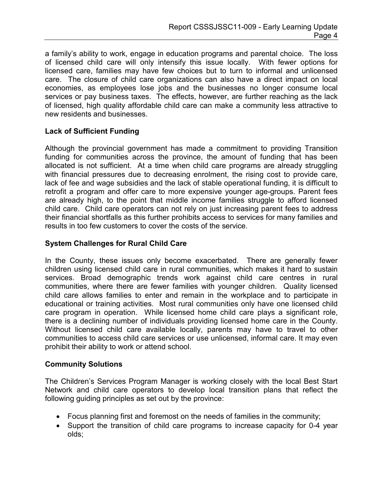a family's ability to work, engage in education programs and parental choice. The loss of licensed child care will only intensify this issue locally. With fewer options for licensed care, families may have few choices but to turn to informal and unlicensed care. The closure of child care organizations can also have a direct impact on local economies, as employees lose jobs and the businesses no longer consume local services or pay business taxes. The effects, however, are further reaching as the lack of licensed, high quality affordable child care can make a community less attractive to new residents and businesses.

### **Lack of Sufficient Funding**

Although the provincial government has made a commitment to providing Transition funding for communities across the province, the amount of funding that has been allocated is not sufficient. At a time when child care programs are already struggling with financial pressures due to decreasing enrolment, the rising cost to provide care, lack of fee and wage subsidies and the lack of stable operational funding, it is difficult to retrofit a program and offer care to more expensive younger age-groups. Parent fees are already high, to the point that middle income families struggle to afford licensed child care. Child care operators can not rely on just increasing parent fees to address their financial shortfalls as this further prohibits access to services for many families and results in too few customers to cover the costs of the service.

#### **System Challenges for Rural Child Care**

In the County, these issues only become exacerbated. There are generally fewer children using licensed child care in rural communities, which makes it hard to sustain services. Broad demographic trends work against child care centres in rural communities, where there are fewer families with younger children. Quality licensed child care allows families to enter and remain in the workplace and to participate in educational or training activities. Most rural communities only have one licensed child care program in operation. While licensed home child care plays a significant role, there is a declining number of individuals providing licensed home care in the County. Without licensed child care available locally, parents may have to travel to other communities to access child care services or use unlicensed, informal care. It may even prohibit their ability to work or attend school.

#### **Community Solutions**

The Children's Services Program Manager is working closely with the local Best Start Network and child care operators to develop local transition plans that reflect the following guiding principles as set out by the province:

- Focus planning first and foremost on the needs of families in the community;
- Support the transition of child care programs to increase capacity for 0-4 year olds;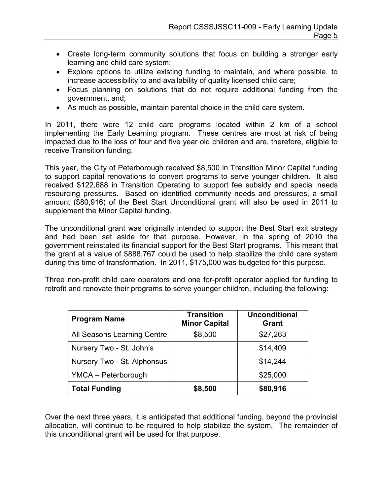- Create long-term community solutions that focus on building a stronger early learning and child care system;
- Explore options to utilize existing funding to maintain, and where possible, to increase accessibility to and availability of quality licensed child care;
- Focus planning on solutions that do not require additional funding from the government, and;
- As much as possible, maintain parental choice in the child care system.

In 2011, there were 12 child care programs located within 2 km of a school implementing the Early Learning program. These centres are most at risk of being impacted due to the loss of four and five year old children and are, therefore, eligible to receive Transition funding.

This year, the City of Peterborough received \$8,500 in Transition Minor Capital funding to support capital renovations to convert programs to serve younger children. It also received \$122,688 in Transition Operating to support fee subsidy and special needs resourcing pressures. Based on identified community needs and pressures, a small amount (\$80,916) of the Best Start Unconditional grant will also be used in 2011 to supplement the Minor Capital funding.

The unconditional grant was originally intended to support the Best Start exit strategy and had been set aside for that purpose. However, in the spring of 2010 the government reinstated its financial support for the Best Start programs. This meant that the grant at a value of \$888,767 could be used to help stabilize the child care system during this time of transformation. In 2011, \$175,000 was budgeted for this purpose.

Three non-profit child care operators and one for-profit operator applied for funding to retrofit and renovate their programs to serve younger children, including the following:

| <b>Program Name</b>         | <b>Transition</b><br><b>Minor Capital</b> | <b>Unconditional</b><br><b>Grant</b> |
|-----------------------------|-------------------------------------------|--------------------------------------|
| All Seasons Learning Centre | \$8,500                                   | \$27,263                             |
| Nursery Two - St. John's    |                                           | \$14,409                             |
| Nursery Two - St. Alphonsus |                                           | \$14,244                             |
| YMCA - Peterborough         |                                           | \$25,000                             |
| <b>Total Funding</b>        | \$8,500                                   | \$80,916                             |

Over the next three years, it is anticipated that additional funding, beyond the provincial allocation, will continue to be required to help stabilize the system. The remainder of this unconditional grant will be used for that purpose.